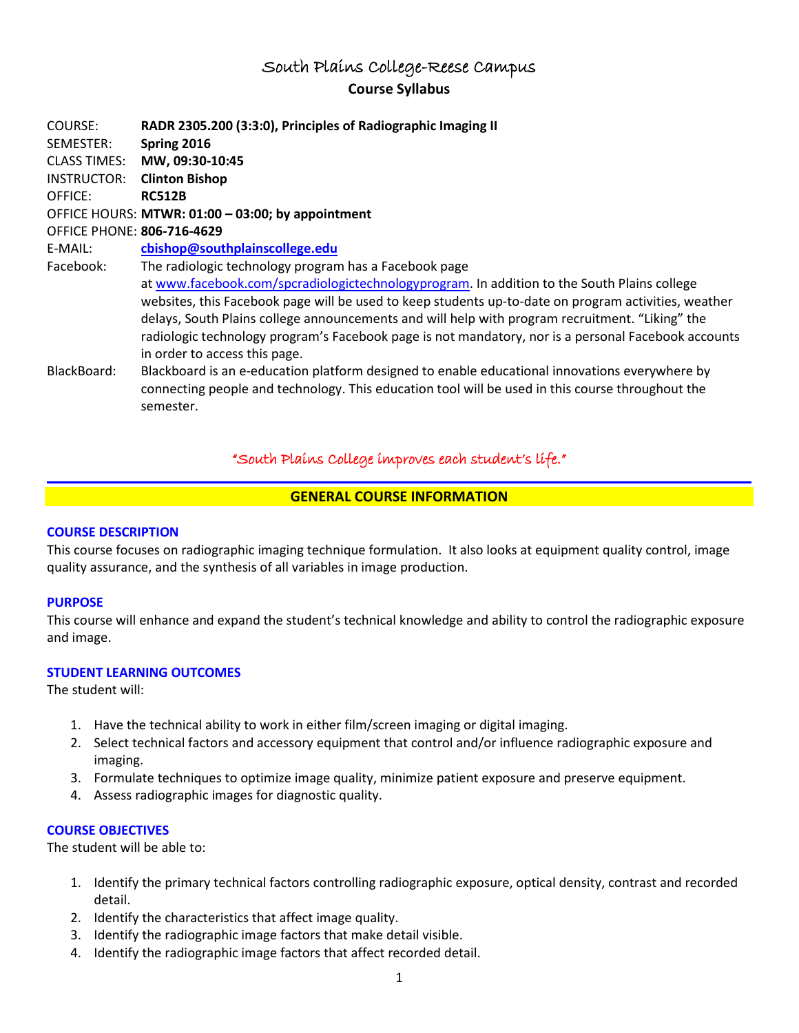# South Plains College-Reese Campus **Course Syllabus**

COURSE: **RADR 2305.200 (3:3:0), Principles of Radiographic Imaging II** SEMESTER: **Spring 2016** CLASS TIMES: **MW, 09:30-10:45** INSTRUCTOR: **Clinton Bishop** OFFICE: **RC512B** OFFICE HOURS: **MTWR: 01:00 – 03:00; by appointment** OFFICE PHONE: **806-716-4629** E-MAIL: **[cbishop@southplainscollege.edu](mailto:cbishop@southplainscollege.edu)** Facebook: The radiologic technology program has a Facebook page at [www.facebook.com/spcradiologictechnologyprogram.](http://www.facebook.com/spcradiologictechnologyprogram) In addition to the South Plains college websites, this Facebook page will be used to keep students up-to-date on program activities, weather delays, South Plains college announcements and will help with program recruitment. "Liking" the radiologic technology program's Facebook page is not mandatory, nor is a personal Facebook accounts in order to access this page. BlackBoard: Blackboard is an e-education platform designed to enable educational innovations everywhere by connecting people and technology. This education tool will be used in this course throughout the semester.

## "South Plains College improves each student's life."

## **GENERAL COURSE INFORMATION**

#### **COURSE DESCRIPTION**

This course focuses on radiographic imaging technique formulation. It also looks at equipment quality control, image quality assurance, and the synthesis of all variables in image production.

#### **PURPOSE**

This course will enhance and expand the student's technical knowledge and ability to control the radiographic exposure and image.

#### **STUDENT LEARNING OUTCOMES**

The student will:

- 1. Have the technical ability to work in either film/screen imaging or digital imaging.
- 2. Select technical factors and accessory equipment that control and/or influence radiographic exposure and imaging.
- 3. Formulate techniques to optimize image quality, minimize patient exposure and preserve equipment.
- 4. Assess radiographic images for diagnostic quality.

#### **COURSE OBJECTIVES**

The student will be able to:

- 1. Identify the primary technical factors controlling radiographic exposure, optical density, contrast and recorded detail.
- 2. Identify the characteristics that affect image quality.
- 3. Identify the radiographic image factors that make detail visible.
- 4. Identify the radiographic image factors that affect recorded detail.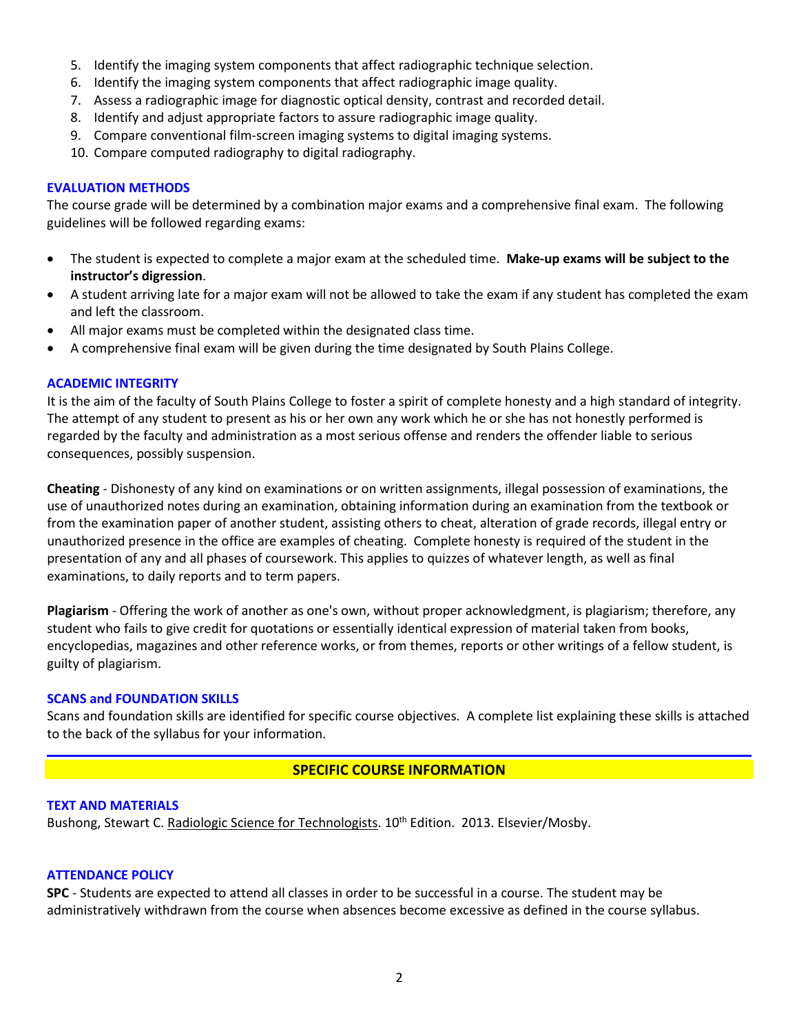- 5. Identify the imaging system components that affect radiographic technique selection.
- 6. Identify the imaging system components that affect radiographic image quality.
- 7. Assess a radiographic image for diagnostic optical density, contrast and recorded detail.
- 8. Identify and adjust appropriate factors to assure radiographic image quality.
- 9. Compare conventional film-screen imaging systems to digital imaging systems.
- 10. Compare computed radiography to digital radiography.

## **EVALUATION METHODS**

The course grade will be determined by a combination major exams and a comprehensive final exam. The following guidelines will be followed regarding exams:

- The student is expected to complete a major exam at the scheduled time. **Make-up exams will be subject to the instructor's digression**.
- A student arriving late for a major exam will not be allowed to take the exam if any student has completed the exam and left the classroom.
- All major exams must be completed within the designated class time.
- A comprehensive final exam will be given during the time designated by South Plains College.

## **ACADEMIC INTEGRITY**

It is the aim of the faculty of South Plains College to foster a spirit of complete honesty and a high standard of integrity. The attempt of any student to present as his or her own any work which he or she has not honestly performed is regarded by the faculty and administration as a most serious offense and renders the offender liable to serious consequences, possibly suspension.

**Cheating** - Dishonesty of any kind on examinations or on written assignments, illegal possession of examinations, the use of unauthorized notes during an examination, obtaining information during an examination from the textbook or from the examination paper of another student, assisting others to cheat, alteration of grade records, illegal entry or unauthorized presence in the office are examples of cheating. Complete honesty is required of the student in the presentation of any and all phases of coursework. This applies to quizzes of whatever length, as well as final examinations, to daily reports and to term papers.

**Plagiarism** - Offering the work of another as one's own, without proper acknowledgment, is plagiarism; therefore, any student who fails to give credit for quotations or essentially identical expression of material taken from books, encyclopedias, magazines and other reference works, or from themes, reports or other writings of a fellow student, is guilty of plagiarism.

## **SCANS and FOUNDATION SKILLS**

Scans and foundation skills are identified for specific course objectives. A complete list explaining these skills is attached to the back of the syllabus for your information.

## **SPECIFIC COURSE INFORMATION**

## **TEXT AND MATERIALS**

Bushong, Stewart C. Radiologic Science for Technologists. 10<sup>th</sup> Edition. 2013. Elsevier/Mosby.

## **ATTENDANCE POLICY**

**SPC** - Students are expected to attend all classes in order to be successful in a course. The student may be administratively withdrawn from the course when absences become excessive as defined in the course syllabus.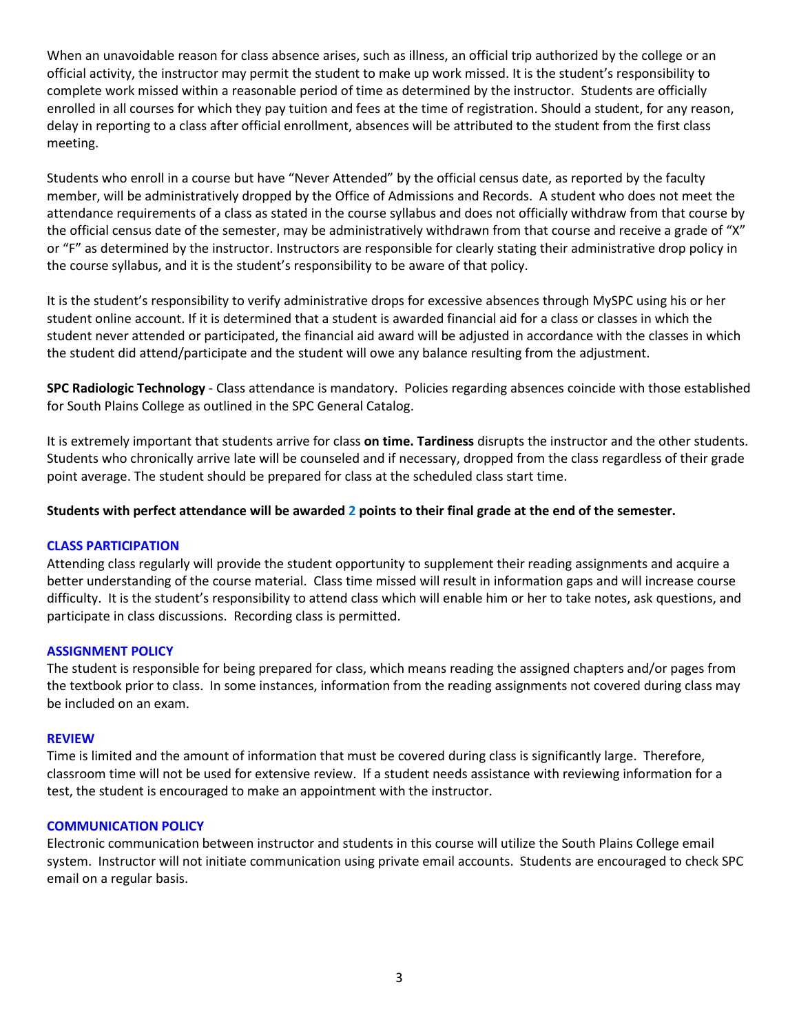When an unavoidable reason for class absence arises, such as illness, an official trip authorized by the college or an official activity, the instructor may permit the student to make up work missed. It is the student's responsibility to complete work missed within a reasonable period of time as determined by the instructor. Students are officially enrolled in all courses for which they pay tuition and fees at the time of registration. Should a student, for any reason, delay in reporting to a class after official enrollment, absences will be attributed to the student from the first class meeting.

Students who enroll in a course but have "Never Attended" by the official census date, as reported by the faculty member, will be administratively dropped by the Office of Admissions and Records. A student who does not meet the attendance requirements of a class as stated in the course syllabus and does not officially withdraw from that course by the official census date of the semester, may be administratively withdrawn from that course and receive a grade of "X" or "F" as determined by the instructor. Instructors are responsible for clearly stating their administrative drop policy in the course syllabus, and it is the student's responsibility to be aware of that policy.

It is the student's responsibility to verify administrative drops for excessive absences through MySPC using his or her student online account. If it is determined that a student is awarded financial aid for a class or classes in which the student never attended or participated, the financial aid award will be adjusted in accordance with the classes in which the student did attend/participate and the student will owe any balance resulting from the adjustment.

**SPC Radiologic Technology** - Class attendance is mandatory. Policies regarding absences coincide with those established for South Plains College as outlined in the SPC General Catalog.

It is extremely important that students arrive for class **on time. Tardiness** disrupts the instructor and the other students. Students who chronically arrive late will be counseled and if necessary, dropped from the class regardless of their grade point average. The student should be prepared for class at the scheduled class start time.

**Students with perfect attendance will be awarded 2 points to their final grade at the end of the semester.**

## **CLASS PARTICIPATION**

Attending class regularly will provide the student opportunity to supplement their reading assignments and acquire a better understanding of the course material. Class time missed will result in information gaps and will increase course difficulty. It is the student's responsibility to attend class which will enable him or her to take notes, ask questions, and participate in class discussions. Recording class is permitted.

## **ASSIGNMENT POLICY**

The student is responsible for being prepared for class, which means reading the assigned chapters and/or pages from the textbook prior to class. In some instances, information from the reading assignments not covered during class may be included on an exam.

## **REVIEW**

Time is limited and the amount of information that must be covered during class is significantly large. Therefore, classroom time will not be used for extensive review. If a student needs assistance with reviewing information for a test, the student is encouraged to make an appointment with the instructor.

## **COMMUNICATION POLICY**

Electronic communication between instructor and students in this course will utilize the South Plains College email system. Instructor will not initiate communication using private email accounts. Students are encouraged to check SPC email on a regular basis.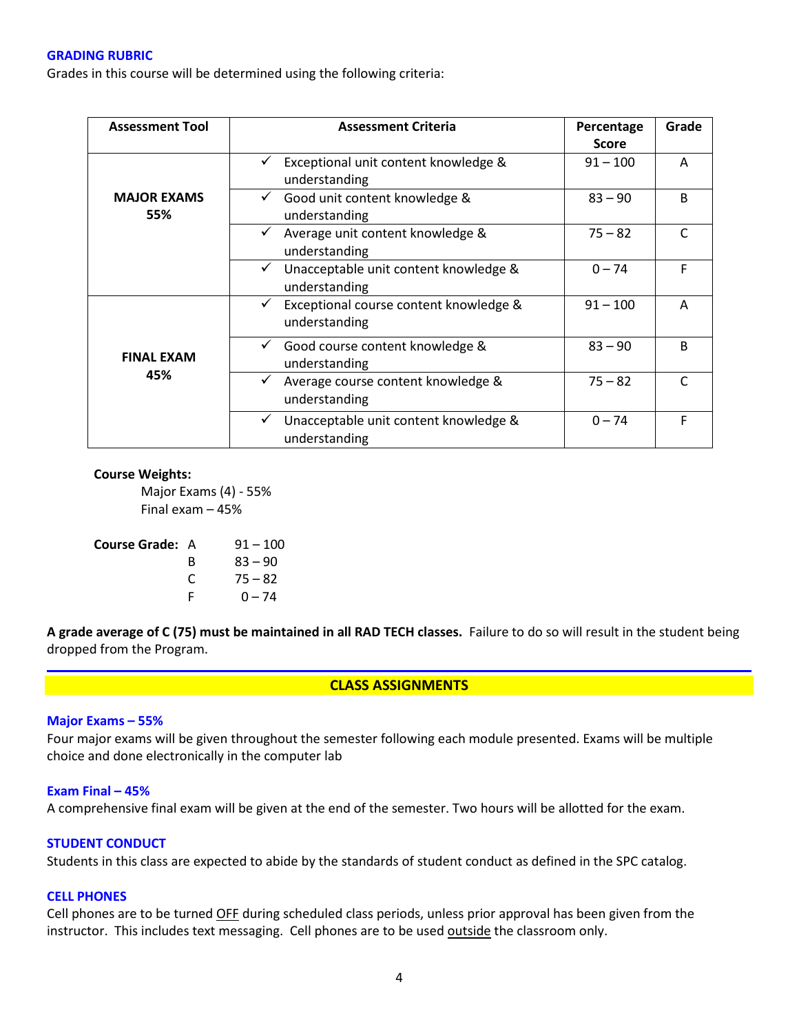#### **GRADING RUBRIC**

Grades in this course will be determined using the following criteria:

| <b>Assessment Tool</b>    | <b>Assessment Criteria</b>                                  | Percentage   | Grade        |
|---------------------------|-------------------------------------------------------------|--------------|--------------|
|                           |                                                             | <b>Score</b> |              |
|                           | Exceptional unit content knowledge &<br>understanding       | $91 - 100$   | A            |
| <b>MAJOR EXAMS</b><br>55% | Good unit content knowledge &<br>understanding              | $83 - 90$    | <sub>B</sub> |
|                           | Average unit content knowledge &<br>understanding           | $75 - 82$    | r            |
|                           | Unacceptable unit content knowledge &<br>✓<br>understanding | $0 - 74$     | F            |
| <b>FINAL EXAM</b><br>45%  | Exceptional course content knowledge &<br>understanding     | $91 - 100$   | A            |
|                           | Good course content knowledge &<br>understanding            | $83 - 90$    | <sub>B</sub> |
|                           | Average course content knowledge &<br>understanding         | $75 - 82$    | C            |
|                           | Unacceptable unit content knowledge &<br>understanding      | $0 - 74$     | F            |

#### **Course Weights:**

Major Exams (4) - 55% Final exam – 45%

| <b>Course Grade: A</b> | $91 - 100$ |
|------------------------|------------|
| B                      | $83 - 90$  |
| C                      | $75 - 82$  |
| F                      | $0 - 74$   |
|                        |            |

**A grade average of C (75) must be maintained in all RAD TECH classes.** Failure to do so will result in the student being dropped from the Program.

#### **CLASS ASSIGNMENTS**

#### **Major Exams – 55%**

Four major exams will be given throughout the semester following each module presented. Exams will be multiple choice and done electronically in the computer lab

#### **Exam Final – 45%**

A comprehensive final exam will be given at the end of the semester. Two hours will be allotted for the exam.

#### **STUDENT CONDUCT**

Students in this class are expected to abide by the standards of student conduct as defined in the SPC catalog.

## **CELL PHONES**

Cell phones are to be turned OFF during scheduled class periods, unless prior approval has been given from the instructor. This includes text messaging. Cell phones are to be used outside the classroom only.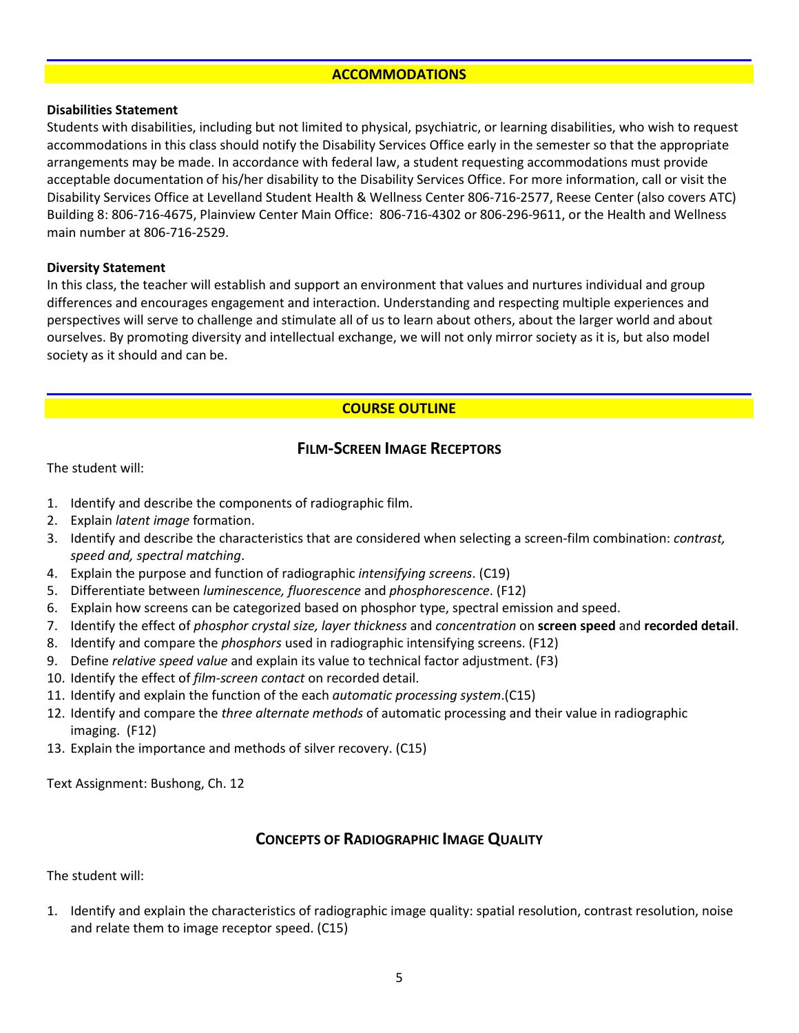### **ACCOMMODATIONS**

### **Disabilities Statement**

Students with disabilities, including but not limited to physical, psychiatric, or learning disabilities, who wish to request accommodations in this class should notify the Disability Services Office early in the semester so that the appropriate arrangements may be made. In accordance with federal law, a student requesting accommodations must provide acceptable documentation of his/her disability to the Disability Services Office. For more information, call or visit the Disability Services Office at Levelland Student Health & Wellness Center 806-716-2577, Reese Center (also covers ATC) Building 8: 806-716-4675, Plainview Center Main Office: 806-716-4302 or 806-296-9611, or the Health and Wellness main number at 806-716-2529.

### **Diversity Statement**

In this class, the teacher will establish and support an environment that values and nurtures individual and group differences and encourages engagement and interaction. Understanding and respecting multiple experiences and perspectives will serve to challenge and stimulate all of us to learn about others, about the larger world and about ourselves. By promoting diversity and intellectual exchange, we will not only mirror society as it is, but also model society as it should and can be.

## **COURSE OUTLINE**

## **FILM-SCREEN IMAGE RECEPTORS**

The student will:

- 1. Identify and describe the components of radiographic film.
- 2. Explain *latent image* formation.
- 3. Identify and describe the characteristics that are considered when selecting a screen-film combination: *contrast, speed and, spectral matching*.
- 4. Explain the purpose and function of radiographic *intensifying screens*. (C19)
- 5. Differentiate between *luminescence, fluorescence* and *phosphorescence*. (F12)
- 6. Explain how screens can be categorized based on phosphor type, spectral emission and speed.
- 7. Identify the effect of *phosphor crystal size, layer thickness* and *concentration* on **screen speed** and **recorded detail**.
- 8. Identify and compare the *phosphors* used in radiographic intensifying screens. (F12)
- 9. Define *relative speed value* and explain its value to technical factor adjustment. (F3)
- 10. Identify the effect of *film-screen contact* on recorded detail.
- 11. Identify and explain the function of the each *automatic processing system*.(C15)
- 12. Identify and compare the *three alternate methods* of automatic processing and their value in radiographic imaging. (F12)
- 13. Explain the importance and methods of silver recovery. (C15)

Text Assignment: Bushong, Ch. 12

## **CONCEPTS OF RADIOGRAPHIC IMAGE QUALITY**

The student will:

1. Identify and explain the characteristics of radiographic image quality: spatial resolution, contrast resolution, noise and relate them to image receptor speed. (C15)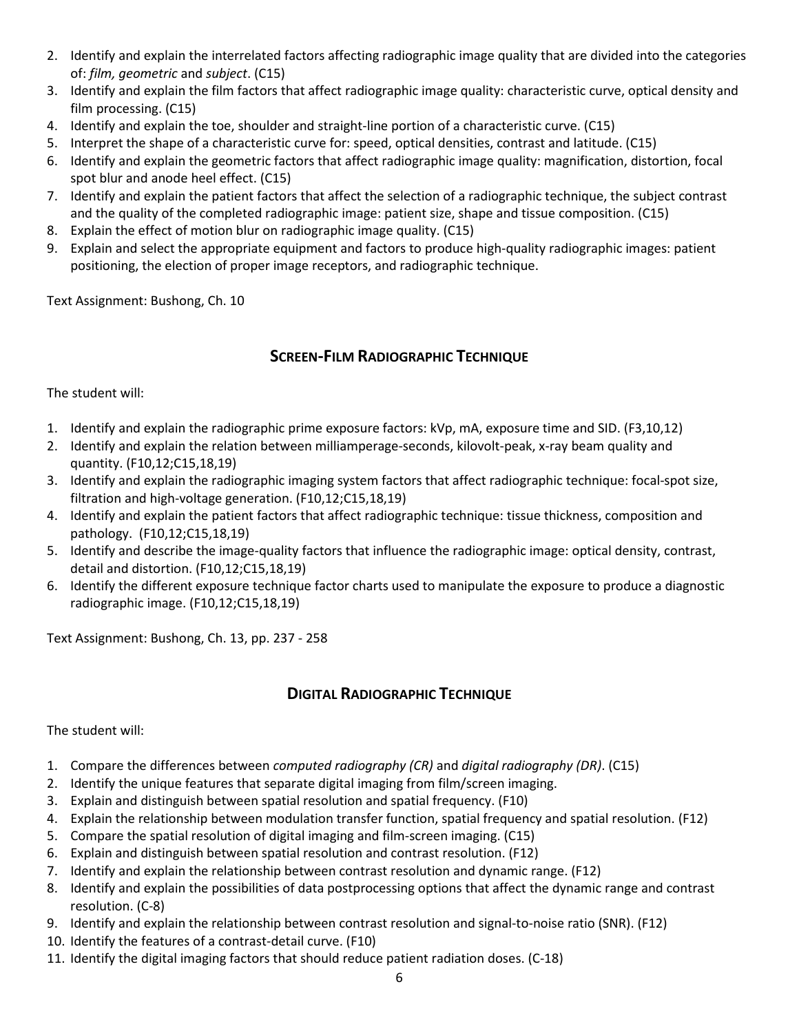- 2. Identify and explain the interrelated factors affecting radiographic image quality that are divided into the categories of: *film, geometric* and *subject*. (C15)
- 3. Identify and explain the film factors that affect radiographic image quality: characteristic curve, optical density and film processing. (C15)
- 4. Identify and explain the toe, shoulder and straight-line portion of a characteristic curve. (C15)
- 5. Interpret the shape of a characteristic curve for: speed, optical densities, contrast and latitude. (C15)
- 6. Identify and explain the geometric factors that affect radiographic image quality: magnification, distortion, focal spot blur and anode heel effect. (C15)
- 7. Identify and explain the patient factors that affect the selection of a radiographic technique, the subject contrast and the quality of the completed radiographic image: patient size, shape and tissue composition. (C15)
- 8. Explain the effect of motion blur on radiographic image quality. (C15)
- 9. Explain and select the appropriate equipment and factors to produce high-quality radiographic images: patient positioning, the election of proper image receptors, and radiographic technique.

Text Assignment: Bushong, Ch. 10

# **SCREEN-FILM RADIOGRAPHIC TECHNIQUE**

The student will:

- 1. Identify and explain the radiographic prime exposure factors: kVp, mA, exposure time and SID. (F3,10,12)
- 2. Identify and explain the relation between milliamperage-seconds, kilovolt-peak, x-ray beam quality and quantity. (F10,12;C15,18,19)
- 3. Identify and explain the radiographic imaging system factors that affect radiographic technique: focal-spot size, filtration and high-voltage generation. (F10,12;C15,18,19)
- 4. Identify and explain the patient factors that affect radiographic technique: tissue thickness, composition and pathology. (F10,12;C15,18,19)
- 5. Identify and describe the image-quality factors that influence the radiographic image: optical density, contrast, detail and distortion. (F10,12;C15,18,19)
- 6. Identify the different exposure technique factor charts used to manipulate the exposure to produce a diagnostic radiographic image. (F10,12;C15,18,19)

Text Assignment: Bushong, Ch. 13, pp. 237 - 258

# **DIGITAL RADIOGRAPHIC TECHNIQUE**

The student will:

- 1. Compare the differences between *computed radiography (CR)* and *digital radiography (DR)*. (C15)
- 2. Identify the unique features that separate digital imaging from film/screen imaging.
- 3. Explain and distinguish between spatial resolution and spatial frequency. (F10)
- 4. Explain the relationship between modulation transfer function, spatial frequency and spatial resolution. (F12)
- 5. Compare the spatial resolution of digital imaging and film-screen imaging. (C15)
- 6. Explain and distinguish between spatial resolution and contrast resolution. (F12)
- 7. Identify and explain the relationship between contrast resolution and dynamic range. (F12)
- 8. Identify and explain the possibilities of data postprocessing options that affect the dynamic range and contrast resolution. (C-8)
- 9. Identify and explain the relationship between contrast resolution and signal-to-noise ratio (SNR). (F12)
- 10. Identify the features of a contrast-detail curve. (F10)
- 11. Identify the digital imaging factors that should reduce patient radiation doses. (C-18)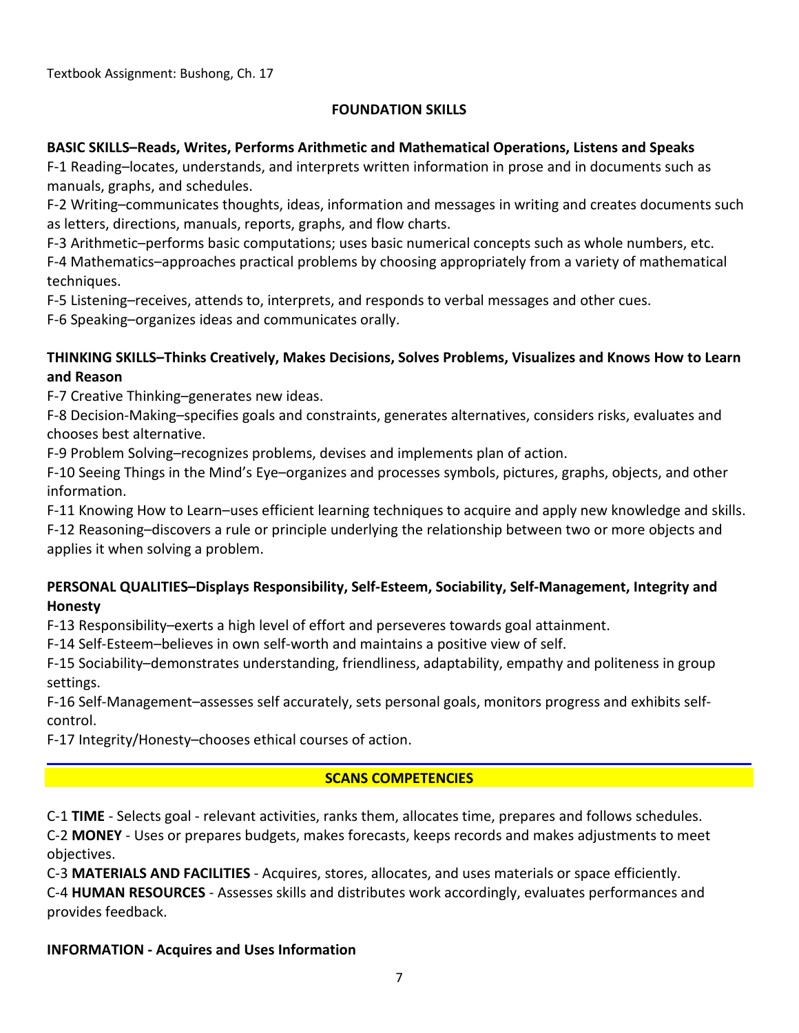Textbook Assignment: Bushong, Ch. 17

## **FOUNDATION SKILLS**

## **BASIC SKILLS–Reads, Writes, Performs Arithmetic and Mathematical Operations, Listens and Speaks**

F-1 Reading–locates, understands, and interprets written information in prose and in documents such as manuals, graphs, and schedules.

F-2 Writing–communicates thoughts, ideas, information and messages in writing and creates documents such as letters, directions, manuals, reports, graphs, and flow charts.

F-3 Arithmetic–performs basic computations; uses basic numerical concepts such as whole numbers, etc.

F-4 Mathematics–approaches practical problems by choosing appropriately from a variety of mathematical techniques.

F-5 Listening–receives, attends to, interprets, and responds to verbal messages and other cues.

F-6 Speaking–organizes ideas and communicates orally.

## **THINKING SKILLS–Thinks Creatively, Makes Decisions, Solves Problems, Visualizes and Knows How to Learn and Reason**

F-7 Creative Thinking–generates new ideas.

F-8 Decision-Making–specifies goals and constraints, generates alternatives, considers risks, evaluates and chooses best alternative.

F-9 Problem Solving–recognizes problems, devises and implements plan of action.

F-10 Seeing Things in the Mind's Eye–organizes and processes symbols, pictures, graphs, objects, and other information.

F-11 Knowing How to Learn–uses efficient learning techniques to acquire and apply new knowledge and skills.

F-12 Reasoning–discovers a rule or principle underlying the relationship between two or more objects and applies it when solving a problem.

## **PERSONAL QUALITIES–Displays Responsibility, Self-Esteem, Sociability, Self-Management, Integrity and Honesty**

F-13 Responsibility–exerts a high level of effort and perseveres towards goal attainment.

F-14 Self-Esteem–believes in own self-worth and maintains a positive view of self.

F-15 Sociability–demonstrates understanding, friendliness, adaptability, empathy and politeness in group settings.

F-16 Self-Management–assesses self accurately, sets personal goals, monitors progress and exhibits selfcontrol.

F-17 Integrity/Honesty–chooses ethical courses of action.

# **SCANS COMPETENCIES**

C-1 **TIME** - Selects goal - relevant activities, ranks them, allocates time, prepares and follows schedules. C-2 **MONEY** - Uses or prepares budgets, makes forecasts, keeps records and makes adjustments to meet objectives.

C-3 **MATERIALS AND FACILITIES** - Acquires, stores, allocates, and uses materials or space efficiently.

C-4 **HUMAN RESOURCES** - Assesses skills and distributes work accordingly, evaluates performances and provides feedback.

# **INFORMATION - Acquires and Uses Information**